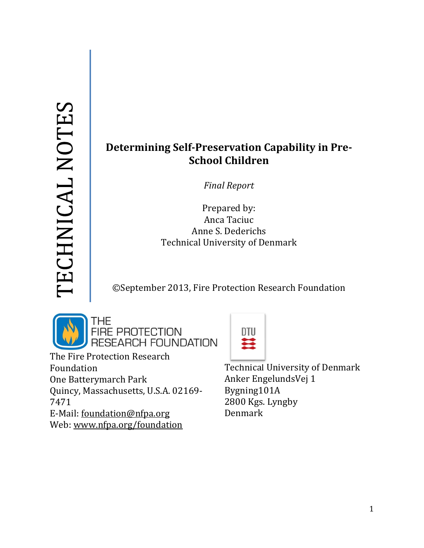# **Determining Self‐Preservation Capability in Pre‐ School Children**

*Final Report*

Prepared by: Anca Taciuc Anne S. Dederichs Technical University of Denmark

©September 2013, Fire Protection Research Foundation



THE FIRE PROTECTION<br>RESEARCH FOUNDATION

The Fire Protection Research Foundation One Batterymarch Park Quincy, Massachusetts, U.S.A. 02169-7471 E-Mail: foundation@nfpa.org

Web: www.nfpa.org/foundation



Technical University of Denmark Anker EngelundsVej 1 Bygning101A 2800 Kgs. Lyngby Denmark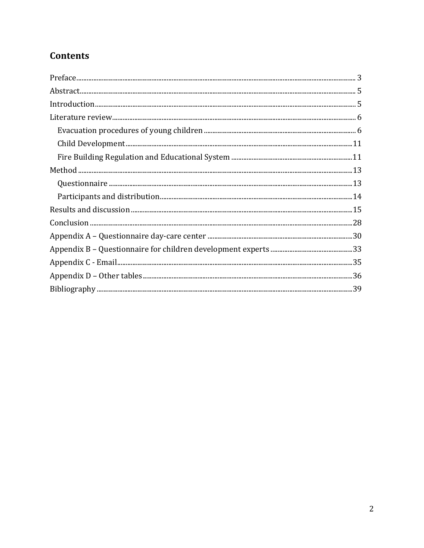# Contents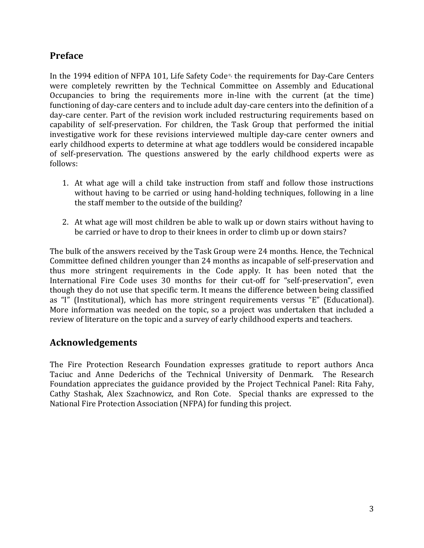## **Preface**

In the 1994 edition of NFPA 101, Life Safety Code<sup>®,</sup> the requirements for Day-Care Centers were completely rewritten by the Technical Committee on Assembly and Educational Occupancies to bring the requirements more in-line with the current (at the time) functioning of day-care centers and to include adult day-care centers into the definition of a day-care center. Part of the revision work included restructuring requirements based on capability of self-preservation. For children, the Task Group that performed the initial investigative work for these revisions interviewed multiple day-care center owners and early childhood experts to determine at what age toddlers would be considered incapable of self-preservation. The questions answered by the early childhood experts were as follows: 

- 1. At what age will a child take instruction from staff and follow those instructions without having to be carried or using hand-holding techniques, following in a line the staff member to the outside of the building?
- 2. At what age will most children be able to walk up or down stairs without having to be carried or have to drop to their knees in order to climb up or down stairs?

The bulk of the answers received by the Task Group were 24 months. Hence, the Technical Committee defined children younger than 24 months as incapable of self-preservation and thus more stringent requirements in the Code apply. It has been noted that the International Fire Code uses 30 months for their cut-off for "self-preservation", even though they do not use that specific term. It means the difference between being classified as "I" (Institutional), which has more stringent requirements versus "E" (Educational). More information was needed on the topic, so a project was undertaken that included a review of literature on the topic and a survey of early childhood experts and teachers.

### **Acknowledgements**

The Fire Protection Research Foundation expresses gratitude to report authors Anca Taciuc and Anne Dederichs of the Technical University of Denmark. The Research Foundation appreciates the guidance provided by the Project Technical Panel: Rita Fahy, Cathy Stashak, Alex Szachnowicz, and Ron Cote. Special thanks are expressed to the National Fire Protection Association (NFPA) for funding this project.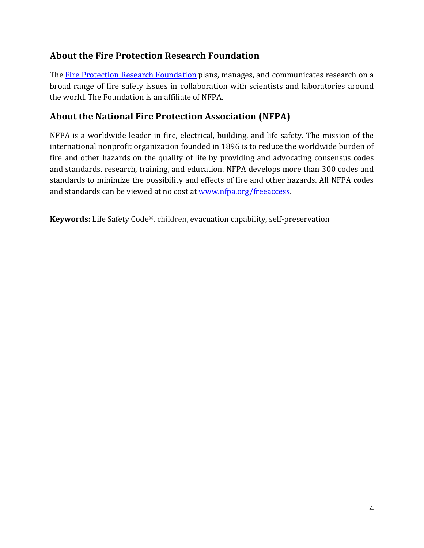# **About the Fire Protection Research Foundation**

The Fire Protection Research Foundation plans, manages, and communicates research on a broad range of fire safety issues in collaboration with scientists and laboratories around the world. The Foundation is an affiliate of NFPA.

### **About the National Fire Protection Association (NFPA)**

NFPA is a worldwide leader in fire, electrical, building, and life safety. The mission of the international nonprofit organization founded in 1896 is to reduce the worldwide burden of fire and other hazards on the quality of life by providing and advocating consensus codes and standards, research, training, and education. NFPA develops more than 300 codes and standards to minimize the possibility and effects of fire and other hazards. All NFPA codes and standards can be viewed at no cost at www.nfpa.org/freeaccess.

**Keywords:** Life Safety Code<sup>®</sup>, children, evacuation capability, self-preservation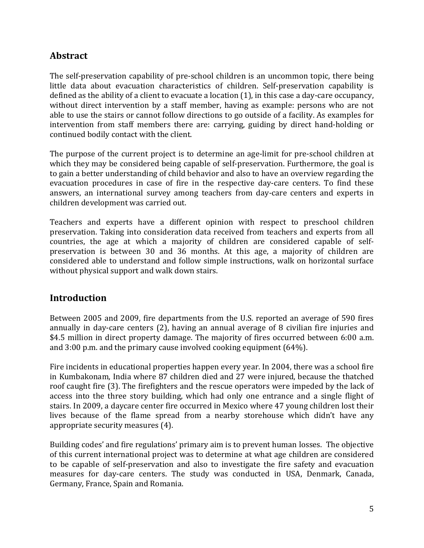# **Abstract**

The self-preservation capability of pre-school children is an uncommon topic, there being little data about evacuation characteristics of children. Self-preservation capability is defined as the ability of a client to evacuate a location  $(1)$ , in this case a day-care occupancy, without direct intervention by a staff member, having as example: persons who are not able to use the stairs or cannot follow directions to go outside of a facility. As examples for intervention from staff members there are: carrying, guiding by direct hand-holding or continued bodily contact with the client.

The purpose of the current project is to determine an age-limit for pre-school children at which they may be considered being capable of self-preservation. Furthermore, the goal is to gain a better understanding of child behavior and also to have an overview regarding the evacuation procedures in case of fire in the respective day-care centers. To find these answers, an international survey among teachers from day-care centers and experts in children development was carried out.

Teachers and experts have a different opinion with respect to preschool children preservation. Taking into consideration data received from teachers and experts from all countries, the age at which a majority of children are considered capable of selfpreservation is between 30 and 36 months. At this age, a majority of children are considered able to understand and follow simple instructions, walk on horizontal surface without physical support and walk down stairs.

### **Introduction**

Between 2005 and 2009, fire departments from the U.S. reported an average of 590 fires annually in day-care centers  $(2)$ , having an annual average of 8 civilian fire injuries and \$4.5 million in direct property damage. The majority of fires occurred between 6:00 a.m. and  $3:00$  p.m. and the primary cause involved cooking equipment  $(64%)$ .

Fire incidents in educational properties happen every year. In 2004, there was a school fire in Kumbakonam, India where 87 children died and 27 were injured, because the thatched roof caught fire (3). The firefighters and the rescue operators were impeded by the lack of access into the three story building, which had only one entrance and a single flight of stairs. In 2009, a daycare center fire occurred in Mexico where 47 young children lost their lives because of the flame spread from a nearby storehouse which didn't have any appropriate security measures  $(4)$ .

Building codes' and fire regulations' primary aim is to prevent human losses. The objective of this current international project was to determine at what age children are considered to be capable of self-preservation and also to investigate the fire safety and evacuation measures for day-care centers. The study was conducted in USA, Denmark, Canada, Germany, France, Spain and Romania.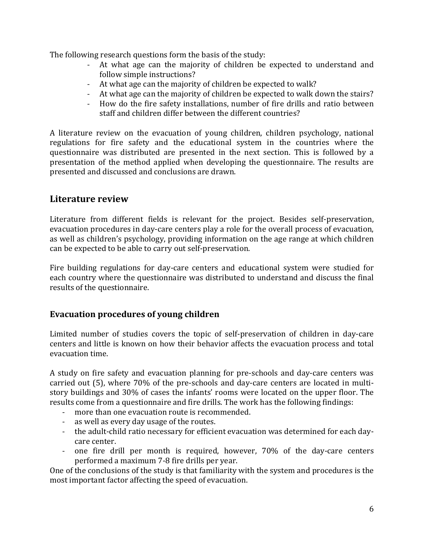The following research questions form the basis of the study:

- At what age can the majority of children be expected to understand and follow simple instructions?
- At what age can the majority of children be expected to walk?
- At what age can the majority of children be expected to walk down the stairs?
- How do the fire safety installations, number of fire drills and ratio between staff and children differ between the different countries?

A literature review on the evacuation of young children, children psychology, national regulations for fire safety and the educational system in the countries where the questionnaire was distributed are presented in the next section. This is followed by a presentation of the method applied when developing the questionnaire. The results are presented and discussed and conclusions are drawn.

### **Literature review**

Literature from different fields is relevant for the project. Besides self-preservation, evacuation procedures in day-care centers play a role for the overall process of evacuation, as well as children's psychology, providing information on the age range at which children can be expected to be able to carry out self-preservation.

Fire building regulations for day-care centers and educational system were studied for each country where the questionnaire was distributed to understand and discuss the final results of the questionnaire.

### **Evacuation procedures of young children**

Limited number of studies covers the topic of self-preservation of children in day-care centers and little is known on how their behavior affects the evacuation process and total evacuation time.

A study on fire safety and evacuation planning for pre-schools and day-care centers was carried out (5), where 70% of the pre-schools and day-care centers are located in multistory buildings and 30% of cases the infants' rooms were located on the upper floor. The results come from a questionnaire and fire drills. The work has the following findings:

- more than one evacuation route is recommended.
- as well as every day usage of the routes.
- the adult-child ratio necessary for efficient evacuation was determined for each daycare center.
- one fire drill per month is required, however, 70% of the day-care centers performed a maximum 7-8 fire drills per year.

One of the conclusions of the study is that familiarity with the system and procedures is the most important factor affecting the speed of evacuation.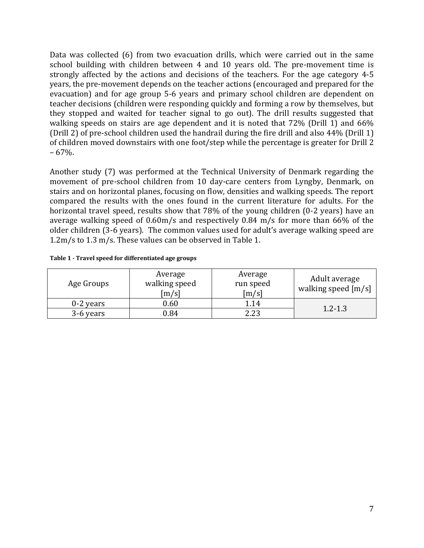Data was collected (6) from two evacuation drills, which were carried out in the same school building with children between 4 and 10 years old. The pre-movement time is strongly affected by the actions and decisions of the teachers. For the age category 4-5 years, the pre-movement depends on the teacher actions (encouraged and prepared for the evacuation) and for age group 5-6 years and primary school children are dependent on teacher decisions (children were responding quickly and forming a row by themselves, but they stopped and waited for teacher signal to go out). The drill results suggested that walking speeds on stairs are age dependent and it is noted that  $72\%$  (Drill 1) and  $66\%$ (Drill 2) of pre-school children used the handrail during the fire drill and also  $44%$  (Drill 1) of children moved downstairs with one foot/step while the percentage is greater for Drill 2  $-67%$ .

Another study (7) was performed at the Technical University of Denmark regarding the movement of pre-school children from 10 day-care centers from Lyngby, Denmark, on stairs and on horizontal planes, focusing on flow, densities and walking speeds. The report compared the results with the ones found in the current literature for adults. For the horizontal travel speed, results show that  $78\%$  of the young children  $(0-2 \text{ years})$  have an average walking speed of  $0.60$ m/s and respectively  $0.84$  m/s for more than  $66\%$  of the older children (3-6 years). The common values used for adult's average walking speed are 1.2m/s to 1.3 m/s. These values can be observed in Table 1.

|  | Table 1 - Travel speed for differentiated age groups |
|--|------------------------------------------------------|
|--|------------------------------------------------------|

| Age Groups  | Average<br>walking speed<br>[m/s] |      | Adult average<br>walking speed [m/s] |
|-------------|-----------------------------------|------|--------------------------------------|
| $0-2$ years | $0.60\,$                          | 1.14 |                                      |
| 3-6 years   | ).84                              | 2.23 | $1.2 - 1.3$                          |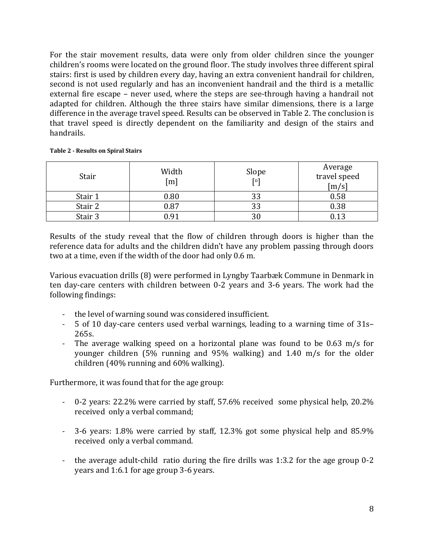For the stair movement results, data were only from older children since the younger children's rooms were located on the ground floor. The study involves three different spiral stairs: first is used by children every day, having an extra convenient handrail for children, second is not used regularly and has an inconvenient handrail and the third is a metallic external fire escape – never used, where the steps are see-through having a handrail not adapted for children. Although the three stairs have similar dimensions, there is a large difference in the average travel speed. Results can be observed in Table 2. The conclusion is that travel speed is directly dependent on the familiarity and design of the stairs and handrails. 

#### **Table 2 ‐ Results on Spiral Stairs**

| Stair   | Width<br>$\lceil m \rceil$ | Slope<br>$\lceil 0 \rceil$ | Average<br>travel speed<br>[m/s] |
|---------|----------------------------|----------------------------|----------------------------------|
| Stair 1 | 0.80                       | 33                         | 0.58                             |
| Stair 2 | 0.87                       | 33                         | 0.38                             |
| Stair 3 | 0.91                       | 30                         | 0.13                             |

Results of the study reveal that the flow of children through doors is higher than the reference data for adults and the children didn't have any problem passing through doors two at a time, even if the width of the door had only 0.6 m.

Various evacuation drills (8) were performed in Lyngby Taarbæk Commune in Denmark in ten day-care centers with children between 0-2 years and 3-6 years. The work had the following findings:

- the level of warning sound was considered insufficient.
- 5 of 10 day-care centers used verbal warnings, leading to a warning time of 31s– 265s.
- The average walking speed on a horizontal plane was found to be  $0.63 \text{ m/s}$  for younger children  $(5\%$  running and  $95\%$  walking) and 1.40 m/s for the older children  $(40\%$  running and  $60\%$  walking).

Furthermore, it was found that for the age group:

- 0-2 years: 22.2% were carried by staff, 57.6% received some physical help, 20.2% received only a verbal command;
- 3-6 years: 1.8% were carried by staff, 12.3% got some physical help and 85.9% received only a verbal command.
- the average adult-child ratio during the fire drills was 1:3.2 for the age group  $0-2$ years and  $1:6.1$  for age group  $3-6$  years.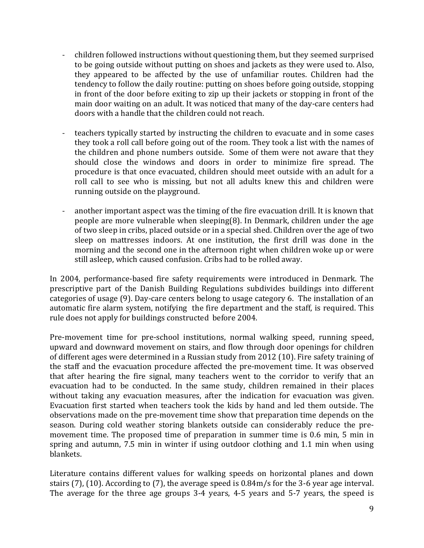- children followed instructions without questioning them, but they seemed surprised to be going outside without putting on shoes and jackets as they were used to. Also, they appeared to be affected by the use of unfamiliar routes. Children had the tendency to follow the daily routine: putting on shoes before going outside, stopping in front of the door before exiting to zip up their jackets or stopping in front of the main door waiting on an adult. It was noticed that many of the day-care centers had doors with a handle that the children could not reach.
- teachers typically started by instructing the children to evacuate and in some cases they took a roll call before going out of the room. They took a list with the names of the children and phone numbers outside. Some of them were not aware that they should close the windows and doors in order to minimize fire spread. The procedure is that once evacuated, children should meet outside with an adult for a roll call to see who is missing, but not all adults knew this and children were running outside on the playground.
- another important aspect was the timing of the fire evacuation drill. It is known that people are more vulnerable when sleeping $(8)$ . In Denmark, children under the age of two sleep in cribs, placed outside or in a special shed. Children over the age of two sleep on mattresses indoors. At one institution, the first drill was done in the morning and the second one in the afternoon right when children woke up or were still asleep, which caused confusion. Cribs had to be rolled away.

In 2004, performance-based fire safety requirements were introduced in Denmark. The prescriptive part of the Danish Building Regulations subdivides buildings into different categories of usage (9). Day-care centers belong to usage category 6. The installation of an automatic fire alarm system, notifying the fire department and the staff, is required. This rule does not apply for buildings constructed before 2004.

Pre-movement time for pre-school institutions, normal walking speed, running speed, upward and downward movement on stairs, and flow through door openings for children of different ages were determined in a Russian study from 2012 (10). Fire safety training of the staff and the evacuation procedure affected the pre-movement time. It was observed that after hearing the fire signal, many teachers went to the corridor to verify that an evacuation had to be conducted. In the same study, children remained in their places without taking any evacuation measures, after the indication for evacuation was given. Evacuation first started when teachers took the kids by hand and led them outside. The observations made on the pre-movement time show that preparation time depends on the season. During cold weather storing blankets outside can considerably reduce the premovement time. The proposed time of preparation in summer time is 0.6 min, 5 min in spring and autumn, 7.5 min in winter if using outdoor clothing and 1.1 min when using blankets. 

Literature contains different values for walking speeds on horizontal planes and down stairs  $(7)$ ,  $(10)$ . According to  $(7)$ , the average speed is  $0.84$ m/s for the 3-6 year age interval. The average for the three age groups  $3-4$  years,  $4-5$  years and  $5-7$  years, the speed is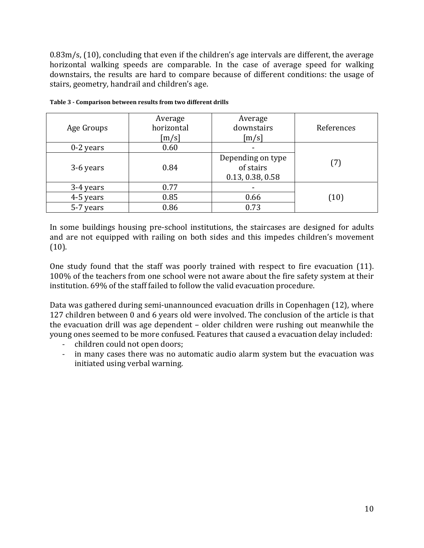$0.83$ m/s,  $(10)$ , concluding that even if the children's age intervals are different, the average horizontal walking speeds are comparable. In the case of average speed for walking downstairs, the results are hard to compare because of different conditions: the usage of stairs, geometry, handrail and children's age.

| Age Groups  | Average<br>horizontal<br>[m/s] | Average<br>downstairs<br>[m/s]                     | References |
|-------------|--------------------------------|----------------------------------------------------|------------|
| $0-2$ years | 0.60                           |                                                    |            |
| 3-6 years   | 0.84                           | Depending on type<br>of stairs<br>0.13, 0.38, 0.58 | (7)        |
| 3-4 years   | 0.77                           | $\overline{\phantom{0}}$                           |            |
| 4-5 years   | 0.85                           | 0.66                                               | (10)       |
| 5-7 years   | 0.86                           | 0.73                                               |            |

**Table 3 ‐ Comparison between results from two different drills**

In some buildings housing pre-school institutions, the staircases are designed for adults and are not equipped with railing on both sides and this impedes children's movement (10). 

One study found that the staff was poorly trained with respect to fire evacuation (11). 100% of the teachers from one school were not aware about the fire safety system at their institution. 69% of the staff failed to follow the valid evacuation procedure.

Data was gathered during semi-unannounced evacuation drills in Copenhagen (12), where 127 children between 0 and 6 years old were involved. The conclusion of the article is that the evacuation drill was age dependent  $-$  older children were rushing out meanwhile the young ones seemed to be more confused. Features that caused a evacuation delay included:

- children could not open doors;
- in many cases there was no automatic audio alarm system but the evacuation was initiated using verbal warning.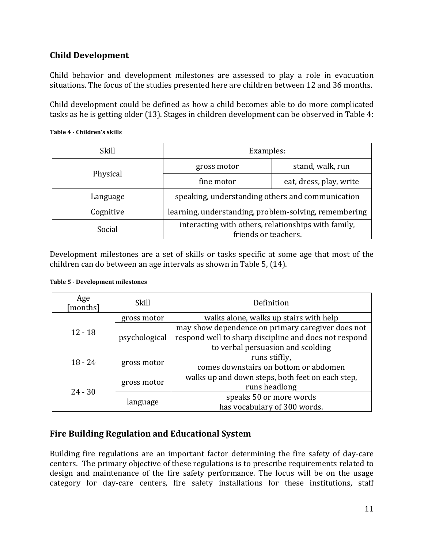### **Child Development**

Child behavior and development milestones are assessed to play a role in evacuation situations. The focus of the studies presented here are children between 12 and 36 months.

Child development could be defined as how a child becomes able to do more complicated tasks as he is getting older (13). Stages in children development can be observed in Table 4:

|  |  |  | Table 4 - Children's skills |  |
|--|--|--|-----------------------------|--|
|--|--|--|-----------------------------|--|

| Skill     | Examples:                                                                   |                  |  |  |  |
|-----------|-----------------------------------------------------------------------------|------------------|--|--|--|
|           | gross motor                                                                 | stand, walk, run |  |  |  |
| Physical  | eat, dress, play, write<br>fine motor                                       |                  |  |  |  |
| Language  | speaking, understanding others and communication                            |                  |  |  |  |
| Cognitive | learning, understanding, problem-solving, remembering                       |                  |  |  |  |
| Social    | interacting with others, relationships with family,<br>friends or teachers. |                  |  |  |  |

Development milestones are a set of skills or tasks specific at some age that most of the children can do between an age intervals as shown in Table  $5$ , (14).

**Table 5 ‐ Development milestones**

| Age<br>[months] | Skill         | Definition                                            |  |  |  |  |
|-----------------|---------------|-------------------------------------------------------|--|--|--|--|
|                 | gross motor   | walks alone, walks up stairs with help                |  |  |  |  |
| $12 - 18$       |               | may show dependence on primary caregiver does not     |  |  |  |  |
|                 | psychological | respond well to sharp discipline and does not respond |  |  |  |  |
|                 |               | to verbal persuasion and scolding                     |  |  |  |  |
| $18 - 24$       |               | runs stiffly,                                         |  |  |  |  |
|                 | gross motor   | comes downstairs on bottom or abdomen                 |  |  |  |  |
|                 |               | walks up and down steps, both feet on each step,      |  |  |  |  |
| $24 - 30$       | gross motor   | runs headlong                                         |  |  |  |  |
|                 |               | speaks 50 or more words                               |  |  |  |  |
|                 | language      | has vocabulary of 300 words.                          |  |  |  |  |

### **Fire Building Regulation and Educational System**

Building fire regulations are an important factor determining the fire safety of day-care centers. The primary objective of these regulations is to prescribe requirements related to design and maintenance of the fire safety performance. The focus will be on the usage category for day-care centers, fire safety installations for these institutions, staff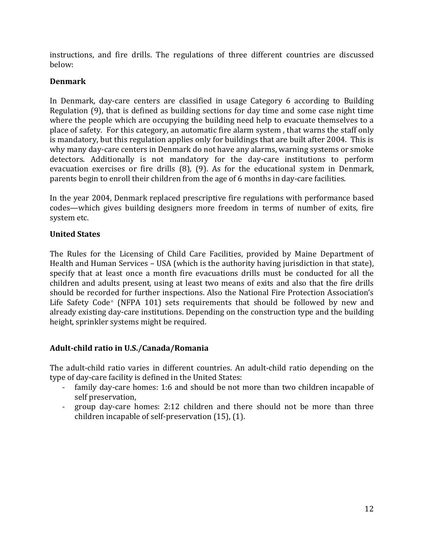instructions, and fire drills. The regulations of three different countries are discussed below: 

### **Denmark**

In Denmark, day-care centers are classified in usage Category 6 according to Building Regulation  $(9)$ , that is defined as building sections for day time and some case night time where the people which are occupying the building need help to evacuate themselves to a place of safety. For this category, an automatic fire alarm system, that warns the staff only is mandatory, but this regulation applies only for buildings that are built after 2004. This is why many day-care centers in Denmark do not have any alarms, warning systems or smoke detectors. Additionally is not mandatory for the day-care institutions to perform evacuation exercises or fire drills (8), (9). As for the educational system in Denmark, parents begin to enroll their children from the age of 6 months in day-care facilities.

In the year 2004, Denmark replaced prescriptive fire regulations with performance based codes—which gives building designers more freedom in terms of number of exits, fire system etc.

### **United States**

The Rules for the Licensing of Child Care Facilities, provided by Maine Department of Health and Human Services – USA (which is the authority having jurisdiction in that state), specify that at least once a month fire evacuations drills must be conducted for all the children and adults present, using at least two means of exits and also that the fire drills should be recorded for further inspections. Also the National Fire Protection Association's Life Safety Code® (NFPA 101) sets requirements that should be followed by new and already existing day-care institutions. Depending on the construction type and the building height, sprinkler systems might be required.

### **Adult‐child ratio in U.S./Canada/Romania**

The adult-child ratio varies in different countries. An adult-child ratio depending on the type of day-care facility is defined in the United States:

- family day-care homes: 1:6 and should be not more than two children incapable of self preservation,
- group day-care homes: 2:12 children and there should not be more than three children incapable of self-preservation  $(15)$ ,  $(1)$ .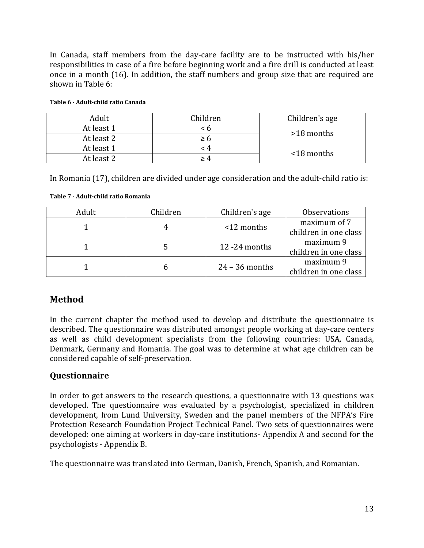In Canada, staff members from the day-care facility are to be instructed with his/her responsibilities in case of a fire before beginning work and a fire drill is conducted at least once in a month  $(16)$ . In addition, the staff numbers and group size that are required are shown in Table 6:

| Adult<br>Children |              | Children's age   |
|-------------------|--------------|------------------|
| At least 1        | - b          | $>18$ months     |
| At least 2        | <sup>0</sup> |                  |
| At least 1        | 4            |                  |
| At least 2        |              | $\leq$ 18 months |

#### **Table 6 ‐ Adult‐child ratio Canada**

In Romania (17), children are divided under age consideration and the adult-child ratio is:

| Adult | Children | Children's age   | <b>Observations</b>   |
|-------|----------|------------------|-----------------------|
|       |          |                  | maximum of 7          |
|       |          | $<$ 12 months    | children in one class |
|       |          | 12 $-24$ months  | maximum 9             |
|       |          |                  | children in one class |
|       |          | $24 - 36$ months | maximum 9             |
|       |          |                  | children in one class |

**Table 7 ‐ Adult‐child ratio Romania**

# **Method**

In the current chapter the method used to develop and distribute the questionnaire is described. The questionnaire was distributed amongst people working at day-care centers as well as child development specialists from the following countries: USA, Canada, Denmark, Germany and Romania. The goal was to determine at what age children can be considered capable of self-preservation.

### **Questionnaire**

In order to get answers to the research questions, a questionnaire with 13 questions was developed. The questionnaire was evaluated by a psychologist, specialized in children development, from Lund University, Sweden and the panel members of the NFPA's Fire Protection Research Foundation Project Technical Panel. Two sets of questionnaires were developed: one aiming at workers in day-care institutions- Appendix A and second for the psychologists - Appendix B.

The questionnaire was translated into German, Danish, French, Spanish, and Romanian.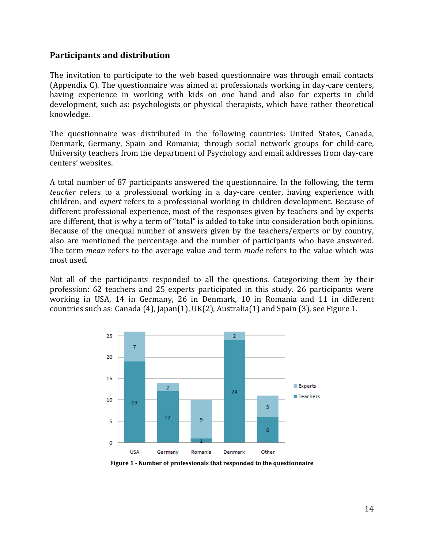### **Participants and distribution**

The invitation to participate to the web based questionnaire was through email contacts (Appendix C). The questionnaire was aimed at professionals working in day-care centers, having experience in working with kids on one hand and also for experts in child development, such as: psychologists or physical therapists, which have rather theoretical knowledge. 

The questionnaire was distributed in the following countries: United States, Canada, Denmark, Germany, Spain and Romania; through social network groups for child-care, University teachers from the department of Psychology and email addresses from day-care centers' websites. 

A total number of 87 participants answered the questionnaire. In the following, the term *teacher* refers to a professional working in a day-care center, having experience with children, and *expert* refers to a professional working in children development. Because of different professional experience, most of the responses given by teachers and by experts are different, that is why a term of "total" is added to take into consideration both opinions. Because of the unequal number of answers given by the teachers/experts or by country, also are mentioned the percentage and the number of participants who have answered. The term *mean* refers to the average value and term *mode* refers to the value which was most used.

Not all of the participants responded to all the questions. Categorizing them by their profession: 62 teachers and 25 experts participated in this study. 26 participants were working in USA, 14 in Germany, 26 in Denmark, 10 in Romania and 11 in different countries such as: Canada  $(4)$ , Japan $(1)$ , UK $(2)$ , Australia $(1)$  and Spain  $(3)$ , see Figure 1.



**Figure 1 ‐ Number of professionals that responded to the questionnaire**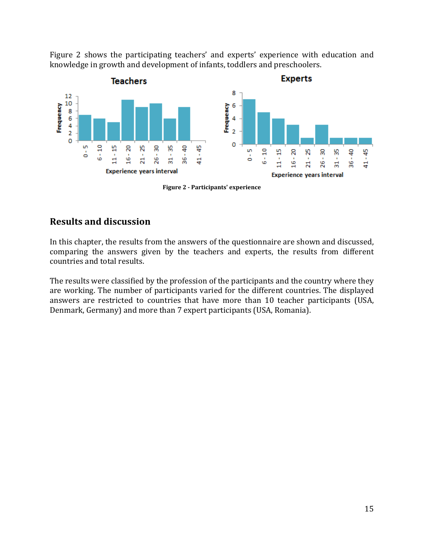

Figure 2 shows the participating teachers' and experts' experience with education and knowledge in growth and development of infants, toddlers and preschoolers.

**Figure 2 ‐ Participants' experience**

### **Results and discussion**

In this chapter, the results from the answers of the questionnaire are shown and discussed, comparing the answers given by the teachers and experts, the results from different countries and total results.

The results were classified by the profession of the participants and the country where they are working. The number of participants varied for the different countries. The displayed answers are restricted to countries that have more than 10 teacher participants (USA, Denmark, Germany) and more than 7 expert participants (USA, Romania).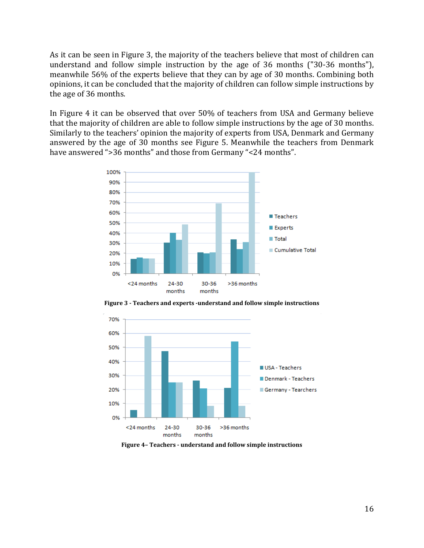As it can be seen in Figure 3, the majority of the teachers believe that most of children can understand and follow simple instruction by the age of  $36$  months  $("30-36$  months"), meanwhile 56% of the experts believe that they can by age of 30 months. Combining both opinions, it can be concluded that the majority of children can follow simple instructions by the age of 36 months.

In Figure 4 it can be observed that over 50% of teachers from USA and Germany believe that the majority of children are able to follow simple instructions by the age of 30 months. Similarly to the teachers' opinion the majority of experts from USA, Denmark and Germany answered by the age of 30 months see Figure 5. Meanwhile the teachers from Denmark have answered ">36 months" and those from Germany "<24 months".



**Figure 3 ‐ Teachers and experts ‐understand and follow simple instructions**



**Figure 4– Teachers ‐ understand and follow simple instructions**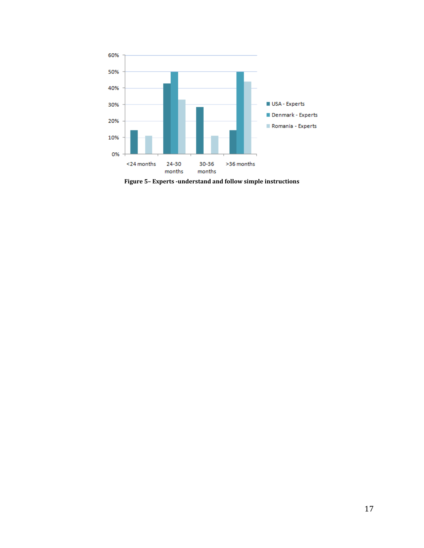

**Figure 5– Experts ‐understand and follow simple instructions**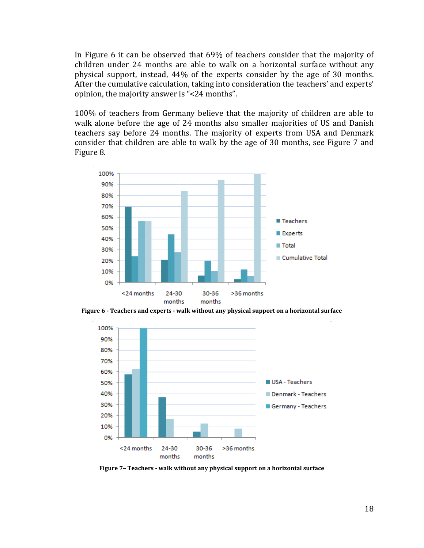In Figure 6 it can be observed that  $69\%$  of teachers consider that the majority of children under 24 months are able to walk on a horizontal surface without any physical support, instead, 44% of the experts consider by the age of 30 months. After the cumulative calculation, taking into consideration the teachers' and experts' opinion, the majority answer is "<24 months".

100% of teachers from Germany believe that the majority of children are able to walk alone before the age of 24 months also smaller majorities of US and Danish teachers say before 24 months. The majority of experts from USA and Denmark consider that children are able to walk by the age of 30 months, see Figure 7 and Figure 8.







**Figure 7– Teachers ‐ walk without any physical support on a horizontal surface**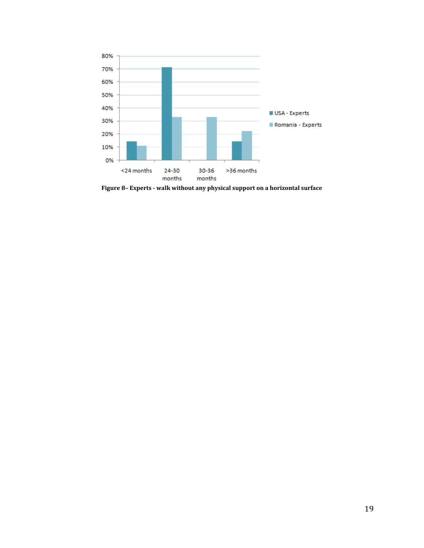

**Figure 8– Experts ‐ walk without any physical support on a horizontal surface**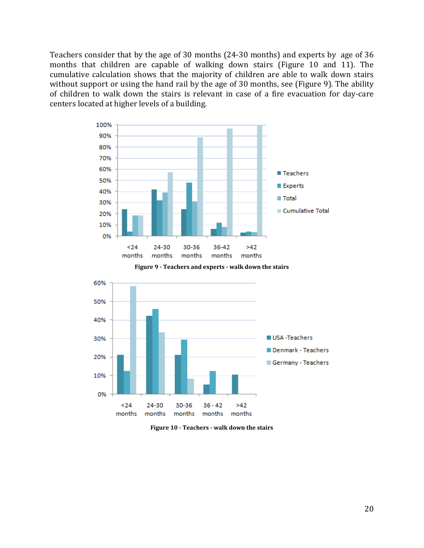Teachers consider that by the age of 30 months (24-30 months) and experts by age of 36 months that children are capable of walking down stairs (Figure 10 and 11). The cumulative calculation shows that the majority of children are able to walk down stairs without support or using the hand rail by the age of 30 months, see (Figure 9). The ability of children to walk down the stairs is relevant in case of a fire evacuation for day-care centers located at higher levels of a building.







**Figure 10 ‐ Teachers ‐ walk down the stairs**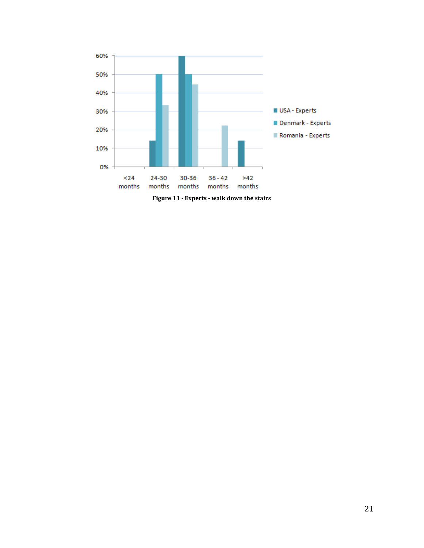

21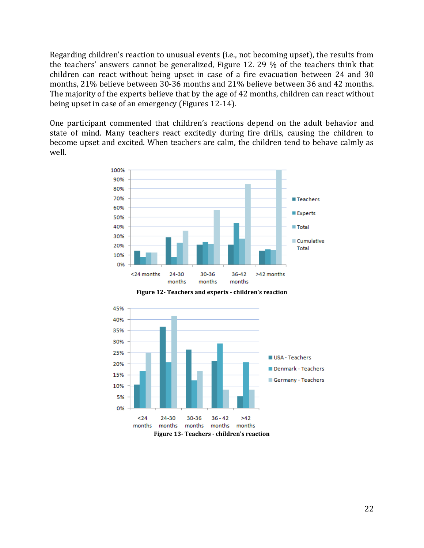Regarding children's reaction to unusual events (i.e., not becoming upset), the results from the teachers' answers cannot be generalized, Figure 12. 29  $%$  of the teachers think that children can react without being upset in case of a fire evacuation between 24 and 30 months, 21% believe between 30-36 months and 21% believe between 36 and 42 months. The majority of the experts believe that by the age of 42 months, children can react without being upset in case of an emergency (Figures 12-14).

One participant commented that children's reactions depend on the adult behavior and state of mind. Many teachers react excitedly during fire drills, causing the children to become upset and excited. When teachers are calm, the children tend to behave calmly as well. 



**Figure 12‐ Teachers and experts ‐ children's reaction**

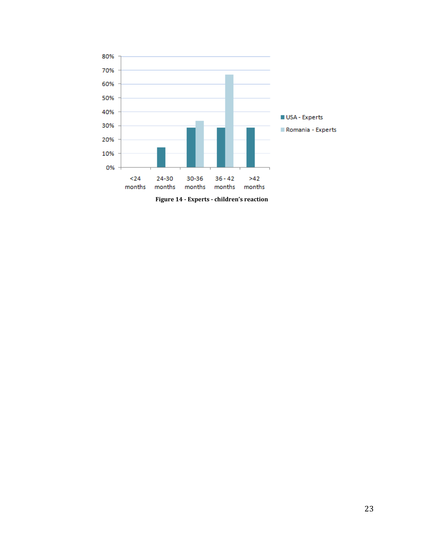

**Figure 14 ‐ Experts ‐ children's reaction**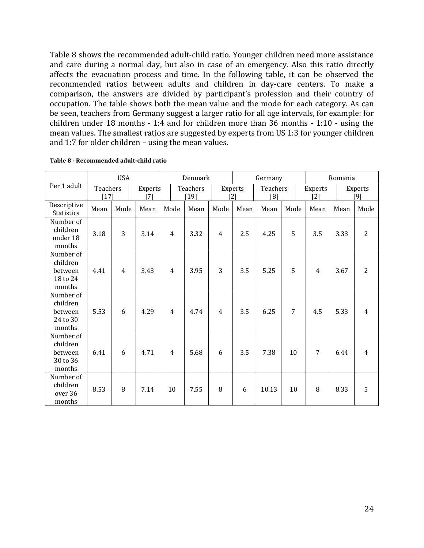Table 8 shows the recommended adult-child ratio. Younger children need more assistance and care during a normal day, but also in case of an emergency. Also this ratio directly affects the evacuation process and time. In the following table, it can be observed the recommended ratios between adults and children in day-care centers. To make a comparison, the answers are divided by participant's profession and their country of occupation. The table shows both the mean value and the mode for each category. As can be seen, teachers from Germany suggest a larger ratio for all age intervals, for example: for children under 18 months  $-1:4$  and for children more than 36 months  $-1:10$   $-$  using the mean values. The smallest ratios are suggested by experts from US 1:3 for younger children and  $1:7$  for older children  $-$  using the mean values.

|                                                        |                  | <b>USA</b>     |                |                | Denmark            |                | Germany        |                 | Romania |                |      |                |
|--------------------------------------------------------|------------------|----------------|----------------|----------------|--------------------|----------------|----------------|-----------------|---------|----------------|------|----------------|
| Per 1 adult                                            | Teachers<br>[17] |                | Experts<br>[7] |                | Teachers<br>$[19]$ |                | Experts<br>[2] | Teachers<br>[8] |         | Experts<br>[2] |      | Experts<br>[9] |
| Descriptive<br><b>Statistics</b>                       | Mean             | Mode           | Mean           | Mode           | Mean               | Mode           | Mean           | Mean            | Mode    | Mean           | Mean | Mode           |
| Number of<br>children<br>under 18<br>months            | 3.18             | 3              | 3.14           | 4              | 3.32               | $\overline{4}$ | 2.5            | 4.25            | 5       | 3.5            | 3.33 | $\overline{2}$ |
| Number of<br>children<br>between<br>18 to 24<br>months | 4.41             | $\overline{4}$ | 3.43           | $\overline{4}$ | 3.95               | 3              | 3.5            | 5.25            | 5       | $\overline{4}$ | 3.67 | $\overline{2}$ |
| Number of<br>children<br>between<br>24 to 30<br>months | 5.53             | 6              | 4.29           | $\overline{4}$ | 4.74               | $\overline{4}$ | 3.5            | 6.25            | 7       | 4.5            | 5.33 | 4              |
| Number of<br>children<br>between<br>30 to 36<br>months | 6.41             | 6              | 4.71           | $\overline{4}$ | 5.68               | 6              | 3.5            | 7.38            | 10      | $\overline{7}$ | 6.44 | $\overline{4}$ |
| Number of<br>children<br>over 36<br>months             | 8.53             | 8              | 7.14           | 10             | 7.55               | 8              | 6              | 10.13           | 10      | 8              | 8.33 | 5              |

#### **Table 8 ‐ Recommended adult‐child ratio**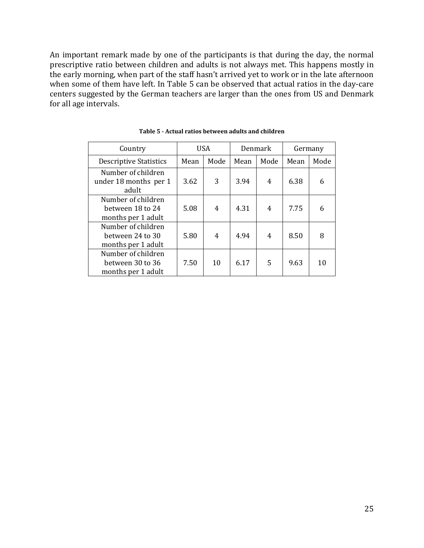An important remark made by one of the participants is that during the day, the normal prescriptive ratio between children and adults is not always met. This happens mostly in the early morning, when part of the staff hasn't arrived yet to work or in the late afternoon when some of them have left. In Table 5 can be observed that actual ratios in the day-care centers suggested by the German teachers are larger than the ones from US and Denmark for all age intervals.

| Country                                                      | <b>USA</b>        |      | Denmark |      | Germany |      |
|--------------------------------------------------------------|-------------------|------|---------|------|---------|------|
| <b>Descriptive Statistics</b>                                | Mean              | Mode | Mean    | Mode | Mean    | Mode |
| Number of children<br>under 18 months per 1<br>adult         | 3<br>3.94<br>3.62 |      |         | 4    | 6.38    | 6    |
| Number of children<br>between 18 to 24<br>months per 1 adult | 5.08              | 4    | 4.31    | 4    | 7.75    | 6    |
| Number of children<br>between 24 to 30<br>months per 1 adult | 5.80              | 4    | 4.94    | 4    | 8.50    | 8    |
| Number of children<br>between 30 to 36<br>months per 1 adult | 7.50              | 10   | 6.17    | 5    | 9.63    | 10   |

**Table 5 ‐ Actual ratios between adults and children**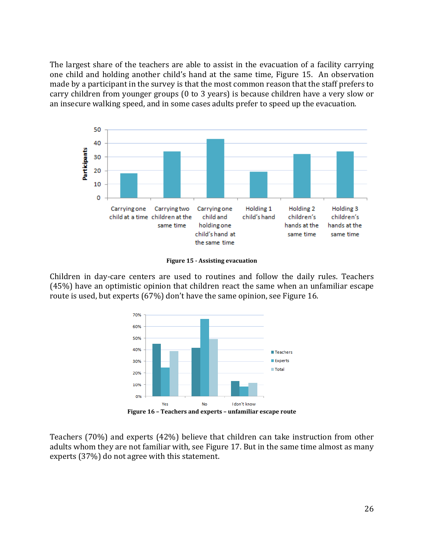The largest share of the teachers are able to assist in the evacuation of a facility carrying one child and holding another child's hand at the same time, Figure 15. An observation made by a participant in the survey is that the most common reason that the staff prefers to carry children from younger groups (0 to 3 years) is because children have a very slow or an insecure walking speed, and in some cases adults prefer to speed up the evacuation.



**Figure 15 ‐ Assisting evacuation**

Children in day-care centers are used to routines and follow the daily rules. Teachers  $(45%)$  have an optimistic opinion that children react the same when an unfamiliar escape route is used, but experts  $(67%)$  don't have the same opinion, see Figure 16.



**Figure 16 – Teachers and experts – unfamiliar escape route**

Teachers  $(70%)$  and experts  $(42%)$  believe that children can take instruction from other adults whom they are not familiar with, see Figure 17. But in the same time almost as many experts (37%) do not agree with this statement.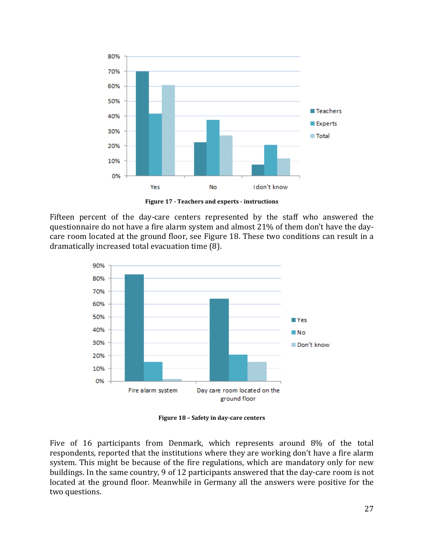

**Figure 17 ‐ Teachers and experts ‐ instructions**

Fifteen percent of the day-care centers represented by the staff who answered the questionnaire do not have a fire alarm system and almost 21% of them don't have the daycare room located at the ground floor, see Figure 18. These two conditions can result in a dramatically increased total evacuation time (8).



**Figure 18 – Safety in day‐care centers**

Five of 16 participants from Denmark, which represents around 8% of the total respondents, reported that the institutions where they are working don't have a fire alarm system. This might be because of the fire regulations, which are mandatory only for new buildings. In the same country, 9 of 12 participants answered that the day-care room is not located at the ground floor. Meanwhile in Germany all the answers were positive for the two questions.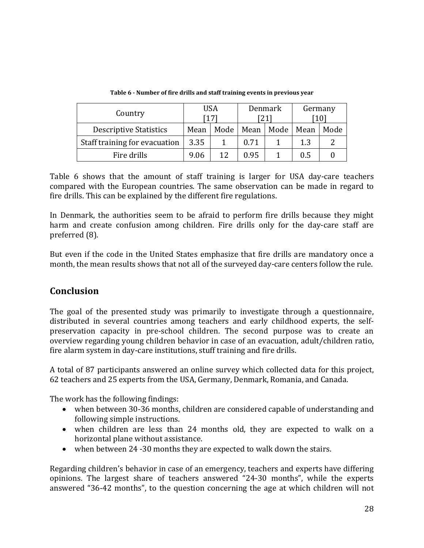| Country                       | <b>USA</b><br>17 |             | Denmark |      | Germany |      |
|-------------------------------|------------------|-------------|---------|------|---------|------|
| <b>Descriptive Statistics</b> | Mean             | Mode   Mean |         | Mode | Mean    | Mode |
| Staff training for evacuation | 3.35             |             | 0.71    |      | 1.3     |      |
| Fire drills                   | 9.06             | 12          | 0.95    |      | 0.5     |      |

**Table 6 ‐ Number of fire drills and staff training events in previous year**

Table 6 shows that the amount of staff training is larger for USA day-care teachers compared with the European countries. The same observation can be made in regard to fire drills. This can be explained by the different fire regulations.

In Denmark, the authorities seem to be afraid to perform fire drills because they might harm and create confusion among children. Fire drills only for the day-care staff are preferred (8).

But even if the code in the United States emphasize that fire drills are mandatory once a month, the mean results shows that not all of the surveyed day-care centers follow the rule.

### **Conclusion**

The goal of the presented study was primarily to investigate through a questionnaire, distributed in several countries among teachers and early childhood experts, the selfpreservation capacity in pre-school children. The second purpose was to create an overview regarding young children behavior in case of an evacuation, adult/children ratio, fire alarm system in day-care institutions, stuff training and fire drills.

A total of 87 participants answered an online survey which collected data for this project, 62 teachers and 25 experts from the USA, Germany, Denmark, Romania, and Canada. 

The work has the following findings:

- when between 30-36 months, children are considered capable of understanding and following simple instructions.
- when children are less than 24 months old, they are expected to walk on a horizontal plane without assistance.
- when between 24 -30 months they are expected to walk down the stairs.

Regarding children's behavior in case of an emergency, teachers and experts have differing opinions. The largest share of teachers answered "24-30 months", while the experts answered "36-42 months", to the question concerning the age at which children will not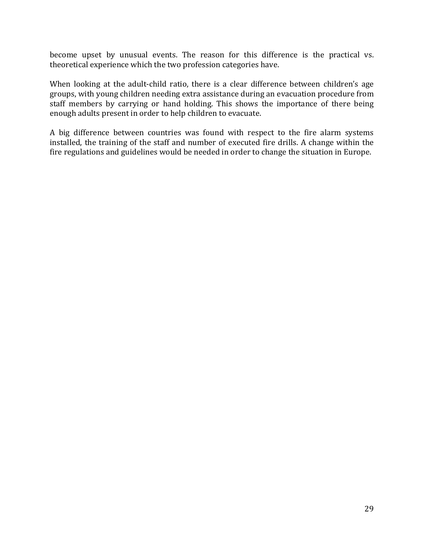become upset by unusual events. The reason for this difference is the practical vs. theoretical experience which the two profession categories have.

When looking at the adult-child ratio, there is a clear difference between children's age groups, with young children needing extra assistance during an evacuation procedure from staff members by carrying or hand holding. This shows the importance of there being enough adults present in order to help children to evacuate.

A big difference between countries was found with respect to the fire alarm systems installed, the training of the staff and number of executed fire drills. A change within the fire regulations and guidelines would be needed in order to change the situation in Europe.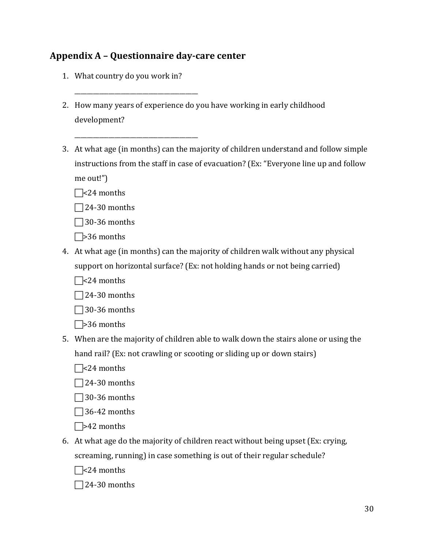# **Appendix A – Questionnaire day‐care center**

1. What country do you work in?

\_\_\_\_\_\_\_\_\_\_\_\_\_\_\_\_\_\_\_\_\_\_\_\_\_\_\_\_\_\_\_\_\_\_\_\_\_\_\_\_ 

\_\_\_\_\_\_\_\_\_\_\_\_\_\_\_\_\_\_\_\_\_\_\_\_\_\_\_\_\_\_\_\_\_\_\_\_\_\_\_\_ 

- 2. How many years of experience do you have working in early childhood development?
- 3. At what age (in months) can the majority of children understand and follow simple instructions from the staff in case of evacuation? (Ex: "Everyone line up and follow me out!")

 $\Box$ <24 months

 $\Box$ 24-30 months

 $\Box$ 30-36 months

 $\square$ >36 months

4. At what age (in months) can the majority of children walk without any physical support on horizontal surface? (Ex: not holding hands or not being carried)

 $\Box$ <24 months

 $\Box$  24-30 months

 $\Box$ 30-36 months

 $\square$ >36 months

5. When are the majority of children able to walk down the stairs alone or using the hand rail? (Ex: not crawling or scooting or sliding up or down stairs)

 $\Box$ <24 months

 $\Box$  24-30 months

 $\Box$ 30-36 months

 $\Box$ 36-42 months

 $\square$ >42 months

6. At what age do the majority of children react without being upset (Ex: crying, screaming, running) in case something is out of their regular schedule?

 $\Box$ <24 months

 $\Box$  24-30 months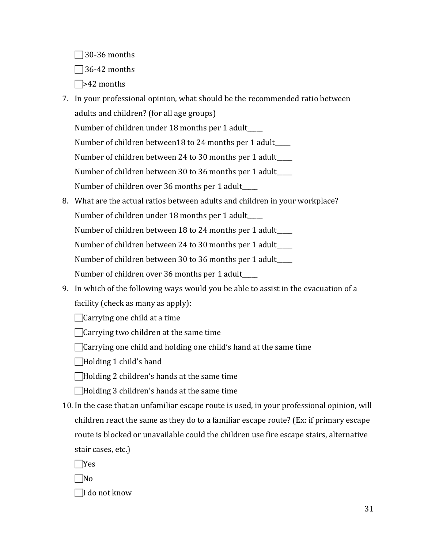$\Box$ 30-36 months

 $\Box$ 36-42 months

 $\square$ >42 months

- 7. In your professional opinion, what should be the recommended ratio between adults and children? (for all age groups) Number of children under 18 months per 1 adult\_\_\_\_ Number of children between18 to 24 months per 1 adult Number of children between 24 to 30 months per 1 adult Number of children between 30 to 36 months per 1 adult Number of children over 36 months per 1 adult
- 8. What are the actual ratios between adults and children in your workplace? Number of children under 18 months per 1 adult\_\_\_\_ Number of children between 18 to 24 months per 1 adult Number of children between 24 to 30 months per 1 adult Number of children between 30 to 36 months per 1 adult Number of children over 36 months per 1 adult\_\_\_\_\_
- 9. In which of the following ways would you be able to assist in the evacuation of a facility (check as many as apply):

 $\Box$ Carrying one child at a time

 $\Box$ Carrying two children at the same time

 $\Box$  Carrying one child and holding one child's hand at the same time

 $\Box$ Holding 1 child's hand

 $\Box$ Holding 2 children's hands at the same time

 $\Box$ Holding 3 children's hands at the same time

10. In the case that an unfamiliar escape route is used, in your professional opinion, will children react the same as they do to a familiar escape route? (Ex: if primary escape route is blocked or unavailable could the children use fire escape stairs, alternative stair cases, etc.)

 $\Box$ Yes

 $\square$ No

 $\Box$ I do not know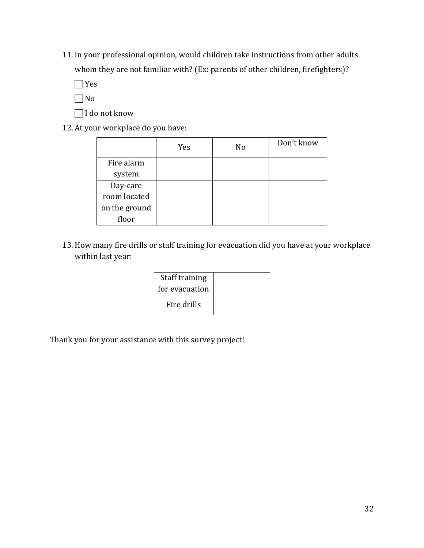11. In your professional opinion, would children take instructions from other adults whom they are not familiar with? (Ex: parents of other children, firefighters)?

 $\Box$ Yes

 No 

 $\Box$  I do not know

12. At your workplace do you have:

|               | Yes | No | Don't know |
|---------------|-----|----|------------|
| Fire alarm    |     |    |            |
| system        |     |    |            |
| Day-care      |     |    |            |
| room located  |     |    |            |
| on the ground |     |    |            |
| floor         |     |    |            |

13. How many fire drills or staff training for evacuation did you have at your workplace within last year:

| Staff training |  |
|----------------|--|
| for evacuation |  |
| Fire drills    |  |

Thank you for your assistance with this survey project!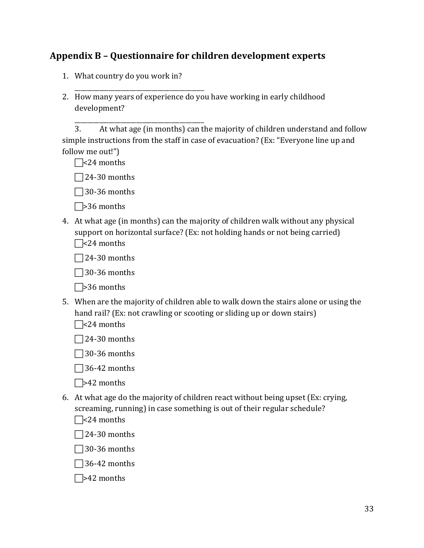# **Appendix B – Questionnaire for children development experts**

- 1. What country do you work in?
- \_\_\_\_\_\_\_\_\_\_\_\_\_\_\_\_\_\_\_\_\_\_\_\_\_\_\_\_\_\_\_\_\_\_\_\_\_\_\_\_\_\_ 2. How many years of experience do you have working in early childhood development?

\_\_\_\_\_\_\_\_\_\_\_\_\_\_\_\_\_\_\_\_\_\_\_\_\_\_\_\_\_\_\_\_\_\_\_\_\_\_\_\_\_\_ 3. At what age (in months) can the majority of children understand and follow simple instructions from the staff in case of evacuation? (Ex: "Everyone line up and follow me out!")

 $\Box$ <24 months

 $\Box$  24-30 months

 $\Box$ 30-36 months

 $\square$ >36 months

4. At what age (in months) can the majority of children walk without any physical support on horizontal surface? (Ex: not holding hands or not being carried)  $\Box$ <24 months

 $\Box$  24-30 months

 $\Box$  30-36 months

 $\Box$ >36 months

5. When are the majority of children able to walk down the stairs alone or using the hand rail? (Ex: not crawling or scooting or sliding up or down stairs)  $\Box$ <24 months

 $\Box$  24-30 months

 $\Box$ 30-36 months

 $\Box$ 36-42 months

 $\Box$ >42 months

6. At what age do the majority of children react without being upset (Ex: crying, screaming, running) in case something is out of their regular schedule?

 $\Box$ <24 months

 $\Box$  24-30 months

 $\Box$ 30-36 months

 $\Box$ 36-42 months

 $\Box$ >42 months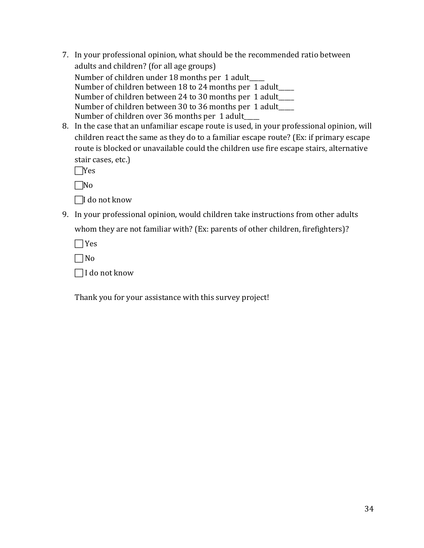- 7. In your professional opinion, what should be the recommended ratio between adults and children? (for all age groups) Number of children under 18 months per 1 adult Number of children between 18 to 24 months per 1 adult\_\_\_\_ Number of children between 24 to 30 months per 1 adult\_\_\_\_\_ Number of children between 30 to 36 months per 1 adult Number of children over 36 months per 1 adult
- 8. In the case that an unfamiliar escape route is used, in your professional opinion, will children react the same as they do to a familiar escape route? (Ex: if primary escape route is blocked or unavailable could the children use fire escape stairs, alternative stair cases, etc.)

 $\Box$ Yes

 $\Box$ No

 $\Box$ I do not know

9. In your professional opinion, would children take instructions from other adults whom they are not familiar with? (Ex: parents of other children, firefighters)?

 $\Box$  Yes

 $\Box$ No

 $\Box$ I do not know

Thank you for your assistance with this survey project!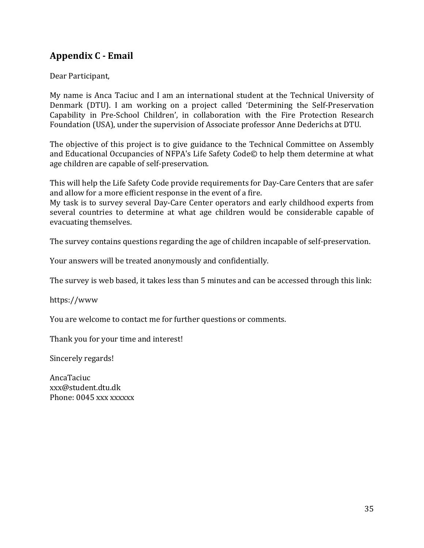# **Appendix C ‐ Email**

Dear Participant,

My name is Anca Taciuc and I am an international student at the Technical University of Denmark (DTU). I am working on a project called 'Determining the Self-Preservation Capability in Pre-School Children', in collaboration with the Fire Protection Research Foundation (USA), under the supervision of Associate professor Anne Dederichs at DTU.

The objective of this project is to give guidance to the Technical Committee on Assembly and Educational Occupancies of NFPA's Life Safety Code© to help them determine at what age children are capable of self-preservation.

This will help the Life Safety Code provide requirements for Day-Care Centers that are safer and allow for a more efficient response in the event of a fire.

My task is to survey several Day-Care Center operators and early childhood experts from several countries to determine at what age children would be considerable capable of evacuating themselves.

The survey contains questions regarding the age of children incapable of self-preservation.

Your answers will be treated anonymously and confidentially.

The survey is web based, it takes less than 5 minutes and can be accessed through this link:

https://www 

You are welcome to contact me for further questions or comments.

Thank you for your time and interest!

Sincerely regards!

AncaTaciuc xxx@student.dtu.dk Phone: 0045 xxx xxxxxx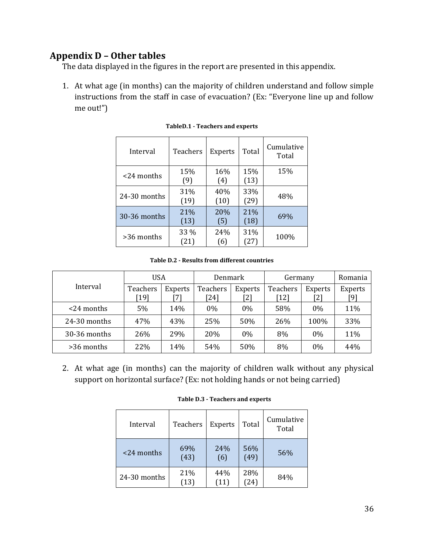### **Appendix D – Other tables**

The data displayed in the figures in the report are presented in this appendix.

1. At what age (in months) can the majority of children understand and follow simple instructions from the staff in case of evacuation? (Ex: "Everyone line up and follow me out!")

| Interval      | Teachers     | <b>Experts</b> | Total       | Cumulative<br>Total |
|---------------|--------------|----------------|-------------|---------------------|
| $<$ 24 months | 15%<br>(9)   | 16%<br>(4)     | 15%<br>(13) | 15%                 |
| 24-30 months  | 31%<br>(19)  | 40%<br>(10)    | 33%<br>(29) | 48%                 |
| 30-36 months  | 21%<br>(13)  | 20%<br>(5)     | 21%<br>(18) | 69%                 |
| >36 months    | 33 %<br>(21) | 24%<br>(6)     | 31%<br>[27] | 100%                |

**TableD.1 ‐ Teachers and experts**

**Table D.2 ‐ Results from different countries**

|               | <b>USA</b>       |         | Denmark          |                      | Germany                               |                       | Romania        |
|---------------|------------------|---------|------------------|----------------------|---------------------------------------|-----------------------|----------------|
| Interval      | Teachers<br>[19] | Experts | Teachers<br>[24] | <b>Experts</b><br>21 | <b>Teachers</b><br>$\lceil 12 \rceil$ | <b>Experts</b><br>[2] | Experts<br>[9] |
| $<$ 24 months | 5%               | 14%     | $0\%$            | $0\%$                | 58%                                   | $0\%$                 | 11%            |
| 24-30 months  | 47%              | 43%     | 25%              | 50%                  | 26%                                   | 100%                  | 33%            |
| 30-36 months  | 26%              | 29%     | 20%              | $0\%$                | 8%                                    | $0\%$                 | 11%            |
| >36 months    | 22%              | 14%     | 54%              | 50%                  | 8%                                    | $0\%$                 | 44%            |

2. At what age (in months) can the majority of children walk without any physical support on horizontal surface? (Ex: not holding hands or not being carried)

| Interval      | Teachers    | <b>Experts</b> | Total       | Cumulative<br>Total |
|---------------|-------------|----------------|-------------|---------------------|
| $<$ 24 months | 69%<br>(43) | 24%<br>(6)     | 56%<br>(49) | 56%                 |
| 24-30 months  | 21%<br>(13) | 44%<br>(11)    | 28%<br>24)  | 84%                 |

**Table D.3 ‐ Teachers and experts**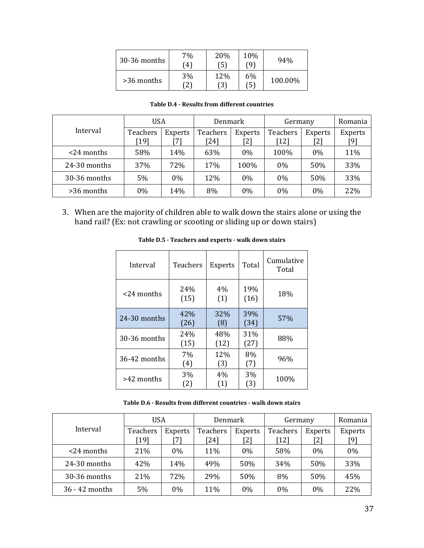| 30-36 months | 7%<br>(4                   | 20%<br>(5)  | 10%<br>(9)   | 94%     |
|--------------|----------------------------|-------------|--------------|---------|
| >36 months   | $3\%$<br>$\left( 2\right)$ | 12\%<br>(3) | $6\%$<br>(5) | 100.00% |

|               | <b>USA</b>       |         | Denmark         |                        | Germany          |                | Romania        |
|---------------|------------------|---------|-----------------|------------------------|------------------|----------------|----------------|
| Interval      | Teachers<br>[19] | Experts | Teachers<br>241 | <b>Experts</b><br>้ 21 | Teachers<br>[12] | Experts<br>[2] | Experts<br>[9] |
| $<$ 24 months | 58%              | 14%     | 63%             | $0\%$                  | 100%             | $0\%$          | 11%            |
| 24-30 months  | 37%              | 72%     | 17%             | 100%                   | $0\%$            | 50%            | 33%            |
| 30-36 months  | 5%               | $0\%$   | 12%             | $0\%$                  | $0\%$            | 50%            | 33%            |
| >36 months    | 0%               | 14%     | 8%              | $0\%$                  | 0%               | $0\%$          | 22%            |

#### **Table D.4 ‐ Results from different countries**

3. When are the majority of children able to walk down the stairs alone or using the hand rail? (Ex: not crawling or scooting or sliding up or down stairs)

| Interval      | <b>Teachers</b> | <b>Experts</b> | Total       | Cumulative<br>Total |
|---------------|-----------------|----------------|-------------|---------------------|
| $<$ 24 months | 24%<br>(15)     | $4\%$<br>(1)   | 19%<br>(16) | 18%                 |
| 24-30 months  | 42%<br>(26)     | 32%<br>(8)     | 39%<br>(34) | 57%                 |
| 30-36 months  | 24%<br>(15)     | 48%<br>(12)    | 31%<br>(27) | 88%                 |
| 36-42 months  | 7%<br>(4)       | 12%<br>(3)     | 8%<br>(7)   | 96%                 |
| >42 months    | 3%<br>(2)       | $4\%$<br>(1)   | 3%<br>(3)   | 100%                |

#### **Table D.5 ‐ Teachers and experts ‐ walk down stairs**

**Table D.6 ‐ Results from different countries ‐ walk down stairs**

|                | <b>USA</b>       |         | Denmark         |                                                                                                                                                                                                                                      | Germany            |                       | Romania        |
|----------------|------------------|---------|-----------------|--------------------------------------------------------------------------------------------------------------------------------------------------------------------------------------------------------------------------------------|--------------------|-----------------------|----------------|
| Interval       | Teachers<br>[19] | Experts | Teachers<br>24] | <b>Experts</b><br>$[2] \centering% \includegraphics[width=1.0\textwidth]{images/TrDiM1.png} \caption{The 3D (black) model for the estimators in the left and right. The left and right is the same as in the right.} \label{TrDiM2}$ | Teachers<br>$[12]$ | <b>Experts</b><br>[2] | Experts<br>[9] |
| $<$ 24 months  | 21%              | $0\%$   | 11%             | $0\%$                                                                                                                                                                                                                                | 58%                | $0\%$                 | 0%             |
| 24-30 months   | 42%              | 14%     | 49%             | 50%                                                                                                                                                                                                                                  | 34%                | 50%                   | 33%            |
| 30-36 months   | 21%              | 72%     | 29%             | 50%                                                                                                                                                                                                                                  | 8%                 | 50%                   | 45%            |
| 36 - 42 months | 5%               | $0\%$   | 11%             | $0\%$                                                                                                                                                                                                                                | $0\%$              | $0\%$                 | 22%            |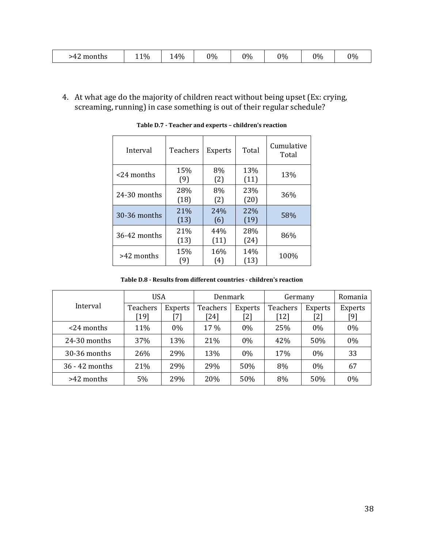| $\sim$ 10 $\pm$ 10 $\sim$<br>74<br>1 L I I J<br>____ | 10 <sub>0</sub><br>,,<br>-- | $10_{0}$ | $\gamma_{0}$ | $\gamma\%$ | $2\%$ | $\gamma_{0/2}$<br>. . | $\Omega_{\rm 0}$<br>. .<br>$\cdots$ |
|------------------------------------------------------|-----------------------------|----------|--------------|------------|-------|-----------------------|-------------------------------------|
|------------------------------------------------------|-----------------------------|----------|--------------|------------|-------|-----------------------|-------------------------------------|

4. At what age do the majority of children react without being upset (Ex: crying, screaming, running) in case something is out of their regular schedule?

| Interval       | Teachers    | <b>Experts</b>         | Total       | Cumulative<br>Total |
|----------------|-------------|------------------------|-------------|---------------------|
| $<$ 24 months  | 15%<br>(9)  | 8%<br>(2)              | 13%<br>(11) | 13%                 |
| $24-30$ months | 28%<br>(18) | 8%<br>(2)              | 23%<br>(20) | 36%                 |
| 30-36 months   | 21%<br>(13) | 24 <sub>%</sub><br>(6) | 22%<br>(19) | 58%                 |
| 36-42 months   | 21%<br>(13) | 44%<br>(11)            | 28%<br>(24) | 86%                 |
| >42 months     | 15%<br>(9)  | 16%<br>(4)             | 14%<br>(13) | 100%                |

**Table D.7 ‐ Teacher and experts – children's reaction**

|  | Table D.8 - Results from different countries - children's reaction |
|--|--------------------------------------------------------------------|
|--|--------------------------------------------------------------------|

| Interval         | <b>USA</b> |         | Denmark  |                                                                                                                                                                                                                    | Germany  |                   | Romania |
|------------------|------------|---------|----------|--------------------------------------------------------------------------------------------------------------------------------------------------------------------------------------------------------------------|----------|-------------------|---------|
|                  | Teachers   | Experts | Teachers | <b>Experts</b>                                                                                                                                                                                                     | Teachers | <b>Experts</b>    | Experts |
|                  | [19]       |         | [24]     | $[2] \centering% \includegraphics[width=1.0\textwidth]{images/TrDiM1.png} \caption{The 3D (black) model for the estimators in the left and right. The left and right is the same as in the right.} \label{TrDiM2}$ | $[12]$   | $\left[ 2\right]$ | [9]     |
| $<$ 24 months    | 11%        | $0\%$   | 17 %     | $0\%$                                                                                                                                                                                                              | 25%      | $0\%$             | 0%      |
| $24-30$ months   | 37%        | 13%     | 21\%     | $0\%$                                                                                                                                                                                                              | 42%      | 50%               | $0\%$   |
| 30-36 months     | 26%        | 29%     | 13%      | $0\%$                                                                                                                                                                                                              | 17%      | $0\%$             | 33      |
| $36 - 42$ months | 21%        | 29%     | 29%      | 50%                                                                                                                                                                                                                | 8%       | $0\%$             | 67      |
| >42 months       | 5%         | 29%     | 20%      | 50%                                                                                                                                                                                                                | 8%       | 50%               | $0\%$   |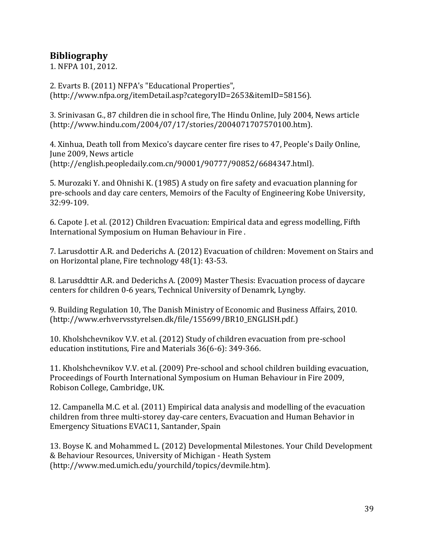### **Bibliography**

1. NFPA 101, 2012.

2. Evarts B. (2011) NFPA's "Educational Properties", (http://www.nfpa.org/itemDetail.asp?categoryID=2653&itemID=58156). 

3. Srinivasan G., 87 children die in school fire, The Hindu Online, July 2004, News article (http://www.hindu.com/2004/07/17/stories/2004071707570100.htm).

4. Xinhua, Death toll from Mexico's daycare center fire rises to 47, People's Daily Online, June 2009, News article (http://english.peopledaily.com.cn/90001/90777/90852/6684347.html). 

5. Murozaki Y. and Ohnishi K. (1985) A study on fire safety and evacuation planning for pre-schools and day care centers, Memoirs of the Faculty of Engineering Kobe University, 32:99‐109. 

6. Capote J. et al. (2012) Children Evacuation: Empirical data and egress modelling, Fifth International Symposium on Human Behaviour in Fire.

7. Larusdottir A.R. and Dederichs A. (2012) Evacuation of children: Movement on Stairs and on Horizontal plane, Fire technology 48(1): 43-53.

8. Larusddttir A.R. and Dederichs A. (2009) Master Thesis: Evacuation process of daycare centers for children 0-6 years, Technical University of Denamrk, Lyngby.

9. Building Regulation 10, The Danish Ministry of Economic and Business Affairs, 2010. (http://www.erhvervsstyrelsen.dk/file/155699/BR10\_ENGLISH.pdf.)

10. Kholshchevnikov V.V. et al. (2012) Study of children evacuation from pre-school education institutions, Fire and Materials 36(6-6): 349-366.

11. Kholshchevnikov V.V. et al. (2009) Pre-school and school children building evacuation, Proceedings of Fourth International Symposium on Human Behaviour in Fire 2009, Robison College, Cambridge, UK.

12. Campanella M.C. et al. (2011) Empirical data analysis and modelling of the evacuation children from three multi-storey day-care centers, Evacuation and Human Behavior in Emergency Situations EVAC11, Santander, Spain

13. Boyse K. and Mohammed L. (2012) Developmental Milestones. Your Child Development & Behaviour Resources, University of Michigan - Heath System (http://www.med.umich.edu/yourchild/topics/devmile.htm).